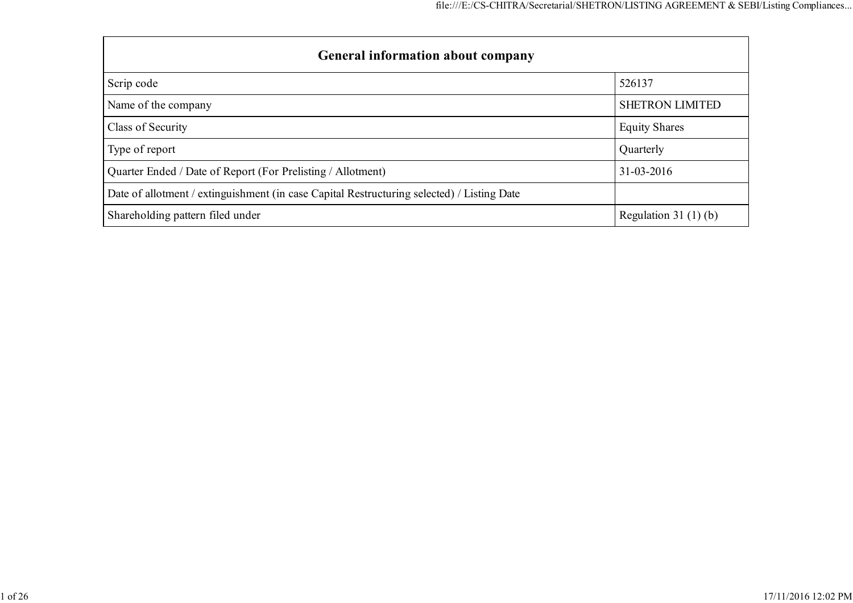| <b>General information about company</b>                                                   |                        |  |  |  |  |  |  |
|--------------------------------------------------------------------------------------------|------------------------|--|--|--|--|--|--|
| Scrip code                                                                                 | 526137                 |  |  |  |  |  |  |
| Name of the company                                                                        | <b>SHETRON LIMITED</b> |  |  |  |  |  |  |
| Class of Security                                                                          | <b>Equity Shares</b>   |  |  |  |  |  |  |
| Type of report                                                                             | Quarterly              |  |  |  |  |  |  |
| Quarter Ended / Date of Report (For Prelisting / Allotment)                                | $31 - 03 - 2016$       |  |  |  |  |  |  |
| Date of allotment / extinguishment (in case Capital Restructuring selected) / Listing Date |                        |  |  |  |  |  |  |
| Shareholding pattern filed under                                                           | Regulation 31 $(1)(b)$ |  |  |  |  |  |  |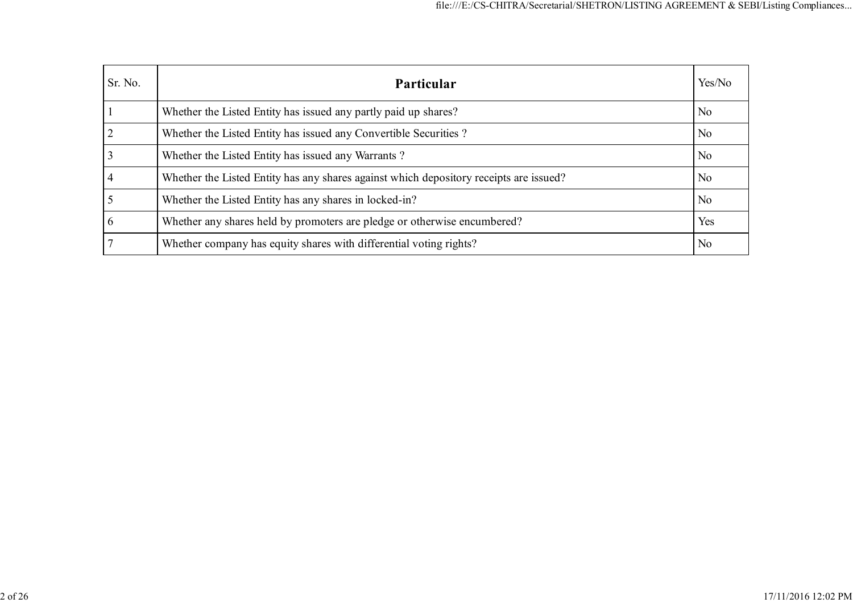| Sr. No. | Particular                                                                             | Yes/No         |
|---------|----------------------------------------------------------------------------------------|----------------|
|         | Whether the Listed Entity has issued any partly paid up shares?                        | N <sub>0</sub> |
|         | Whether the Listed Entity has issued any Convertible Securities?                       | N <sub>0</sub> |
|         | Whether the Listed Entity has issued any Warrants?                                     | N <sub>0</sub> |
|         | Whether the Listed Entity has any shares against which depository receipts are issued? | N <sub>0</sub> |
|         | Whether the Listed Entity has any shares in locked-in?                                 | N <sub>0</sub> |
|         | Whether any shares held by promoters are pledge or otherwise encumbered?               | Yes            |
|         | Whether company has equity shares with differential voting rights?                     | N <sub>0</sub> |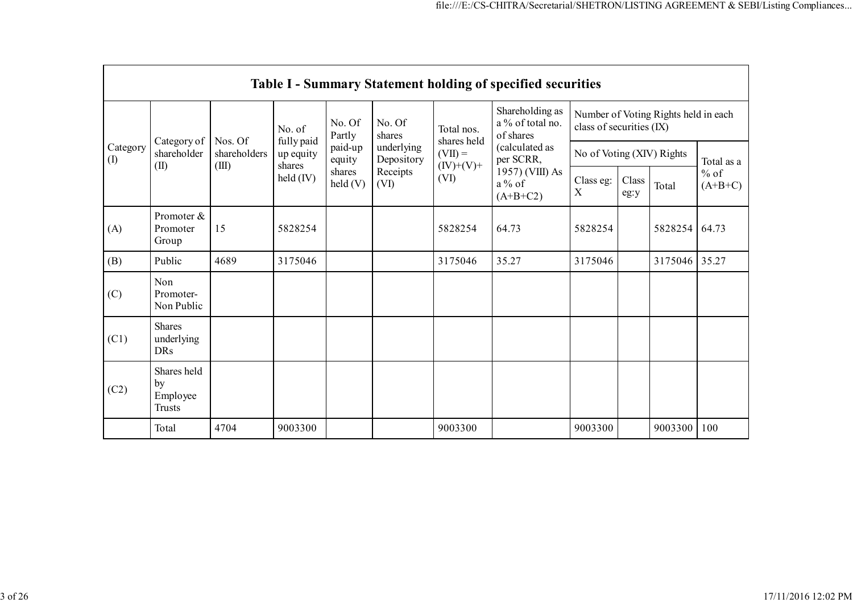|                                                       | <b>Table I - Summary Statement holding of specified securities</b> |                   |                                             |                            |                  |                                                                  |                                                  |                                                                  |               |            |                     |
|-------------------------------------------------------|--------------------------------------------------------------------|-------------------|---------------------------------------------|----------------------------|------------------|------------------------------------------------------------------|--------------------------------------------------|------------------------------------------------------------------|---------------|------------|---------------------|
|                                                       |                                                                    |                   | No. of<br>fully paid<br>up equity<br>shares | No. Of<br>Partly           | No. Of<br>shares | Total nos.<br>shares held                                        | Shareholding as<br>a % of total no.<br>of shares | Number of Voting Rights held in each<br>class of securities (IX) |               |            |                     |
| Category of<br>Category<br>shareholder<br>(1)<br>(II) | Nos. Of<br>shareholders                                            | paid-up<br>equity |                                             | underlying<br>Depository   | $(VII) =$        | (calculated as<br>per SCRR,                                      | No of Voting (XIV) Rights                        |                                                                  |               | Total as a |                     |
|                                                       |                                                                    | (III)             | $\text{held (IV)}$                          | shares<br>$\text{held}(V)$ | Receipts<br>(VI) | $(IV)+(V)+$<br>1957) (VIII) As<br>(VI)<br>$a\%$ of<br>$(A+B+C2)$ |                                                  | Class eg:<br>X                                                   | Class<br>eg:y | Total      | $%$ of<br>$(A+B+C)$ |
| (A)                                                   | Promoter &<br>Promoter<br>Group                                    | 15                | 5828254                                     |                            |                  | 5828254                                                          | 64.73                                            | 5828254                                                          |               | 5828254    | 64.73               |
| (B)                                                   | Public                                                             | 4689              | 3175046                                     |                            |                  | 3175046                                                          | 35.27                                            | 3175046                                                          |               | 3175046    | 35.27               |
| (C)                                                   | Non<br>Promoter-<br>Non Public                                     |                   |                                             |                            |                  |                                                                  |                                                  |                                                                  |               |            |                     |
| (C1)                                                  | <b>Shares</b><br>underlying<br><b>DRs</b>                          |                   |                                             |                            |                  |                                                                  |                                                  |                                                                  |               |            |                     |
| (C2)                                                  | Shares held<br>by<br>Employee<br><b>Trusts</b>                     |                   |                                             |                            |                  |                                                                  |                                                  |                                                                  |               |            |                     |
|                                                       | Total                                                              | 4704              | 9003300                                     |                            |                  | 9003300                                                          |                                                  | 9003300                                                          |               | 9003300    | 100                 |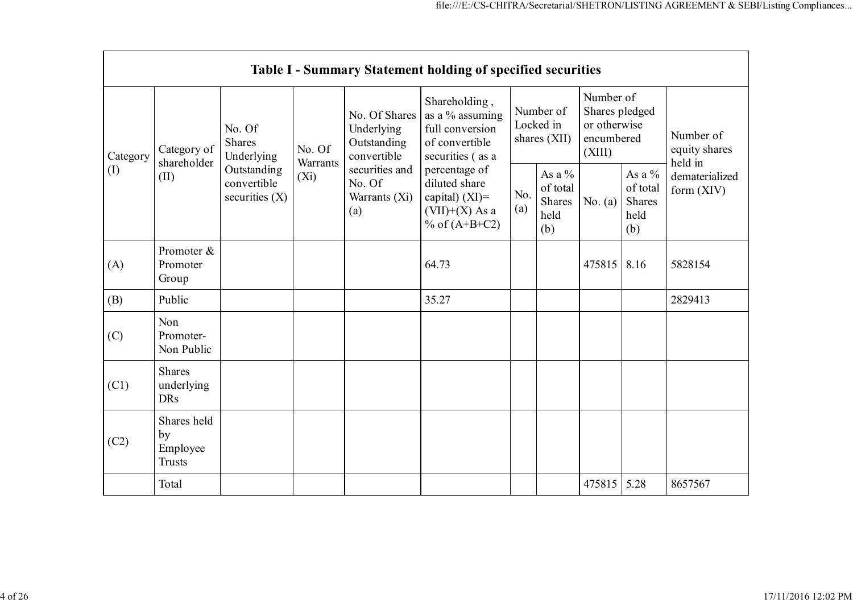|          |                                                |                                                |                           |                                                           | Table I - Summary Statement holding of specified securities                                |                                        |                                                |                                                                     |                                                       |                                       |
|----------|------------------------------------------------|------------------------------------------------|---------------------------|-----------------------------------------------------------|--------------------------------------------------------------------------------------------|----------------------------------------|------------------------------------------------|---------------------------------------------------------------------|-------------------------------------------------------|---------------------------------------|
| Category | Category of<br>shareholder                     | No. Of<br><b>Shares</b><br>Underlying          | No. Of<br><b>Warrants</b> | No. Of Shares<br>Underlying<br>Outstanding<br>convertible | Shareholding,<br>as a % assuming<br>full conversion<br>of convertible<br>securities (as a  | Number of<br>Locked in<br>shares (XII) |                                                | Number of<br>Shares pledged<br>or otherwise<br>encumbered<br>(XIII) |                                                       | Number of<br>equity shares<br>held in |
| (I)      | (II)                                           | Outstanding<br>convertible<br>securities $(X)$ | $(X_i)$                   | securities and<br>No. Of<br>Warrants (Xi)<br>(a)          | percentage of<br>diluted share<br>capital) $(XI)$ =<br>$(VII)+(X)$ As a<br>% of $(A+B+C2)$ | No.<br>(a)                             | As a $\%$<br>of total<br>Shares<br>held<br>(b) | No. $(a)$                                                           | As a $\%$<br>of total<br><b>Shares</b><br>held<br>(b) | dematerialized<br>form (XIV)          |
| (A)      | Promoter &<br>Promoter<br>Group                |                                                |                           |                                                           | 64.73                                                                                      |                                        |                                                | 475815                                                              | 8.16                                                  | 5828154                               |
| (B)      | Public                                         |                                                |                           |                                                           | 35.27                                                                                      |                                        |                                                |                                                                     |                                                       | 2829413                               |
| (C)      | Non<br>Promoter-<br>Non Public                 |                                                |                           |                                                           |                                                                                            |                                        |                                                |                                                                     |                                                       |                                       |
| (C1)     | <b>Shares</b><br>underlying<br><b>DRs</b>      |                                                |                           |                                                           |                                                                                            |                                        |                                                |                                                                     |                                                       |                                       |
| (C2)     | Shares held<br>by<br>Employee<br><b>Trusts</b> |                                                |                           |                                                           |                                                                                            |                                        |                                                |                                                                     |                                                       |                                       |
|          | Total                                          |                                                |                           |                                                           |                                                                                            |                                        |                                                | 475815                                                              | 5.28                                                  | 8657567                               |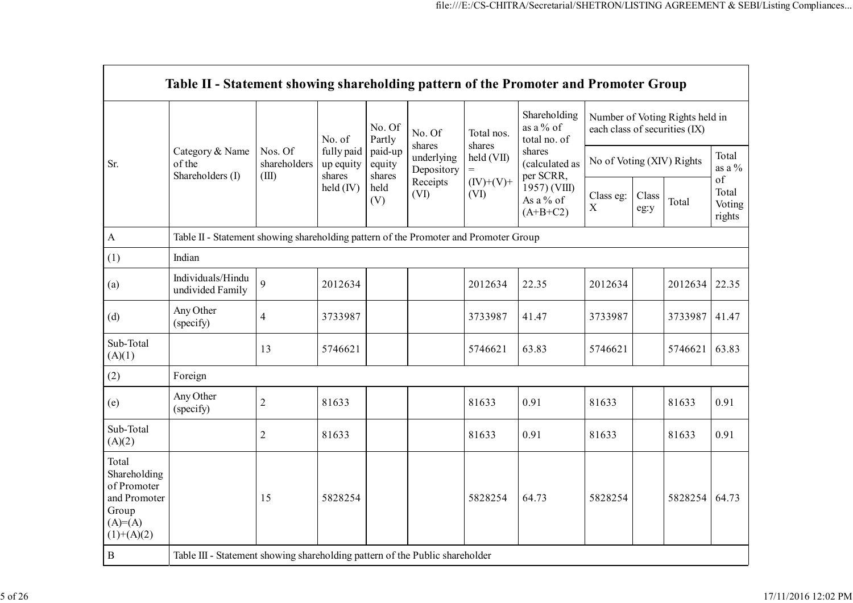|                                                                                             | Table II - Statement showing shareholding pattern of the Promoter and Promoter Group |                                  |                                   |                             |                          |                                                     |                                           |                |                                                                  |                    |                                 |
|---------------------------------------------------------------------------------------------|--------------------------------------------------------------------------------------|----------------------------------|-----------------------------------|-----------------------------|--------------------------|-----------------------------------------------------|-------------------------------------------|----------------|------------------------------------------------------------------|--------------------|---------------------------------|
|                                                                                             |                                                                                      |                                  | No. of                            | No. Of<br>Partly            | No. Of<br>shares         | Total nos.<br>shares                                | Shareholding<br>as a % of<br>total no. of |                | Number of Voting Rights held in<br>each class of securities (IX) |                    |                                 |
| Sr.                                                                                         | Category & Name<br>of the<br>Shareholders (I)                                        | Nos. Of<br>shareholders<br>(III) | fully paid<br>up equity<br>shares | paid-up<br>equity<br>shares | underlying<br>Depository | shares<br>held (VII)<br>(calculated as<br>per SCRR, | No of Voting (XIV) Rights                 |                |                                                                  | Total<br>as a $\%$ |                                 |
|                                                                                             |                                                                                      |                                  | held (IV)                         | held<br>(V)                 | Receipts<br>(VI)         | $(IV)+(V)+$<br>(VI)                                 | 1957) (VIII)<br>As a % of<br>$(A+B+C2)$   | Class eg:<br>X | Class<br>eg:y                                                    | Total              | of<br>Total<br>Voting<br>rights |
| $\Lambda$                                                                                   | Table II - Statement showing shareholding pattern of the Promoter and Promoter Group |                                  |                                   |                             |                          |                                                     |                                           |                |                                                                  |                    |                                 |
| (1)                                                                                         | Indian                                                                               |                                  |                                   |                             |                          |                                                     |                                           |                |                                                                  |                    |                                 |
| (a)                                                                                         | Individuals/Hindu<br>undivided Family                                                | 9                                | 2012634                           |                             |                          | 2012634                                             | 22.35                                     | 2012634        |                                                                  | 2012634            | 22.35                           |
| (d)                                                                                         | Any Other<br>(specify)                                                               | $\overline{4}$                   | 3733987                           |                             |                          | 3733987                                             | 41.47                                     | 3733987        |                                                                  | 3733987            | 41.47                           |
| Sub-Total<br>(A)(1)                                                                         |                                                                                      | 13                               | 5746621                           |                             |                          | 5746621                                             | 63.83                                     | 5746621        |                                                                  | 5746621            | 63.83                           |
| (2)                                                                                         | Foreign                                                                              |                                  |                                   |                             |                          |                                                     |                                           |                |                                                                  |                    |                                 |
| (e)                                                                                         | Any Other<br>(specify)                                                               | $\sqrt{2}$                       | 81633                             |                             |                          | 81633                                               | 0.91                                      | 81633          |                                                                  | 81633              | 0.91                            |
| Sub-Total<br>(A)(2)                                                                         |                                                                                      | $\overline{2}$                   | 81633                             |                             |                          | 81633                                               | 0.91                                      | 81633          |                                                                  | 81633              | 0.91                            |
| Total<br>Shareholding<br>of Promoter<br>and Promoter<br>Group<br>$(A)= (A)$<br>$(1)+(A)(2)$ |                                                                                      | 15                               | 5828254                           |                             |                          | 5828254                                             | 64.73                                     | 5828254        |                                                                  | 5828254            | 64.73                           |
| $\, {\bf B}$                                                                                | Table III - Statement showing shareholding pattern of the Public shareholder         |                                  |                                   |                             |                          |                                                     |                                           |                |                                                                  |                    |                                 |

 $\sim$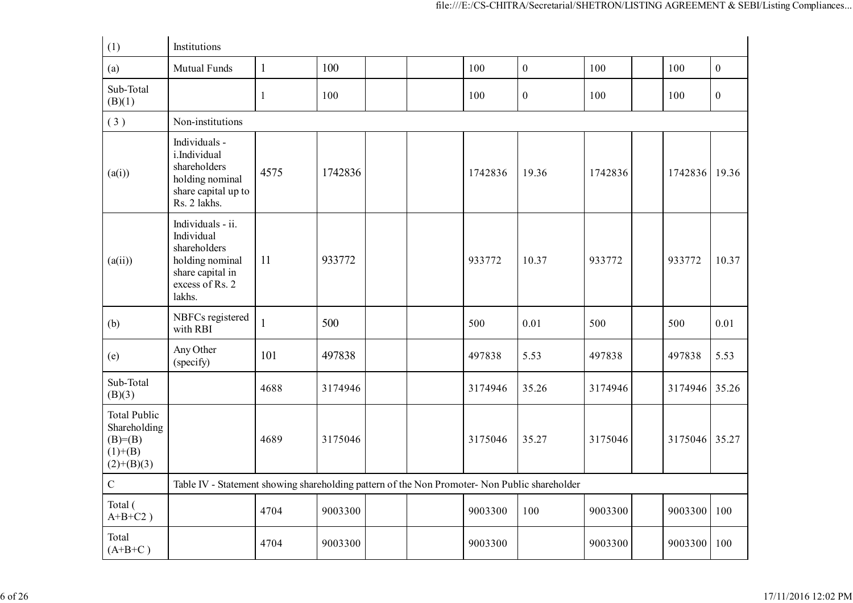| (1)                                                                          | Institutions                                                                                                        |              |         |  |         |                  |         |         |              |
|------------------------------------------------------------------------------|---------------------------------------------------------------------------------------------------------------------|--------------|---------|--|---------|------------------|---------|---------|--------------|
| (a)                                                                          | <b>Mutual Funds</b>                                                                                                 | $\mathbf{1}$ | 100     |  | 100     | $\mathbf{0}$     | 100     | 100     | $\mathbf{0}$ |
| Sub-Total<br>(B)(1)                                                          |                                                                                                                     | 1            | 100     |  | 100     | $\boldsymbol{0}$ | 100     | 100     | $\mathbf{0}$ |
| (3)                                                                          | Non-institutions                                                                                                    |              |         |  |         |                  |         |         |              |
| (a(i))                                                                       | Individuals -<br>i.Individual<br>shareholders<br>holding nominal<br>share capital up to<br>Rs. 2 lakhs.             | 4575         | 1742836 |  | 1742836 | 19.36            | 1742836 | 1742836 | 19.36        |
| (a(ii))                                                                      | Individuals - ii.<br>Individual<br>shareholders<br>holding nominal<br>share capital in<br>excess of Rs. 2<br>lakhs. | 11           | 933772  |  | 933772  | 10.37            | 933772  | 933772  | 10.37        |
| (b)                                                                          | NBFCs registered<br>with RBI                                                                                        | $\mathbf{1}$ | 500     |  | 500     | 0.01             | 500     | 500     | 0.01         |
| (e)                                                                          | Any Other<br>(specify)                                                                                              | 101          | 497838  |  | 497838  | 5.53             | 497838  | 497838  | 5.53         |
| Sub-Total<br>(B)(3)                                                          |                                                                                                                     | 4688         | 3174946 |  | 3174946 | 35.26            | 3174946 | 3174946 | 35.26        |
| <b>Total Public</b><br>Shareholding<br>$(B)=B)$<br>$(1)+(B)$<br>$(2)+(B)(3)$ |                                                                                                                     | 4689         | 3175046 |  | 3175046 | 35.27            | 3175046 | 3175046 | 35.27        |
| $\mathbf C$                                                                  | Table IV - Statement showing shareholding pattern of the Non Promoter- Non Public shareholder                       |              |         |  |         |                  |         |         |              |
| Total (<br>$A+B+C2$ )                                                        |                                                                                                                     | 4704         | 9003300 |  | 9003300 | 100              | 9003300 | 9003300 | 100          |
| Total<br>$(A+B+C)$                                                           |                                                                                                                     | 4704         | 9003300 |  | 9003300 |                  | 9003300 | 9003300 | 100          |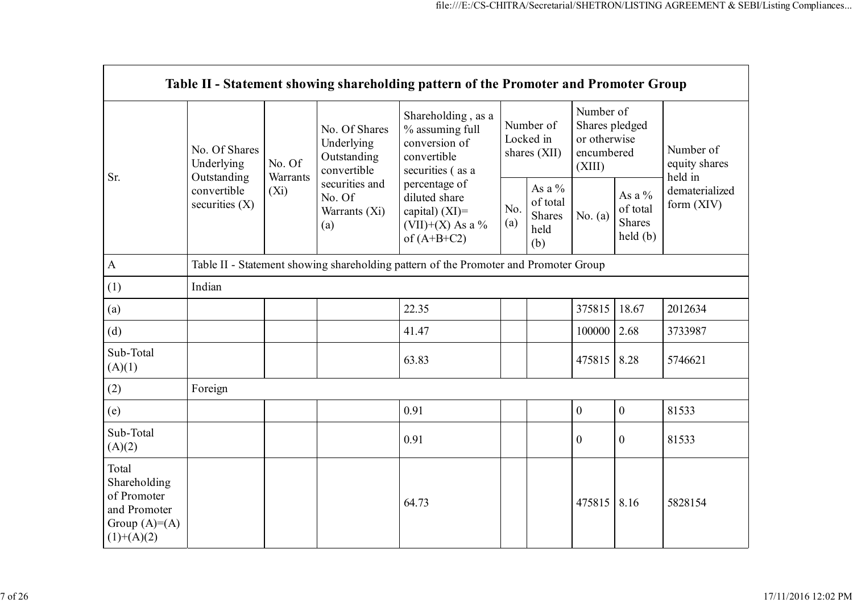|                                                                                        |                                            |                    |                                                           | Table II - Statement showing shareholding pattern of the Promoter and Promoter Group      |                                                           |  |                                                                     |                                                |                                       |
|----------------------------------------------------------------------------------------|--------------------------------------------|--------------------|-----------------------------------------------------------|-------------------------------------------------------------------------------------------|-----------------------------------------------------------|--|---------------------------------------------------------------------|------------------------------------------------|---------------------------------------|
| Sr.                                                                                    | No. Of Shares<br>Underlying<br>Outstanding | No. Of<br>Warrants | No. Of Shares<br>Underlying<br>Outstanding<br>convertible | Shareholding, as a<br>% assuming full<br>conversion of<br>convertible<br>securities (as a | Number of<br>Locked in<br>shares (XII)                    |  | Number of<br>Shares pledged<br>or otherwise<br>encumbered<br>(XIII) |                                                | Number of<br>equity shares<br>held in |
|                                                                                        | convertible<br>securities $(X)$            | $(X_i)$            | securities and<br>No. Of<br>Warrants (Xi)<br>(a)          | percentage of<br>diluted share<br>capital) $(XI)$ =<br>(VII)+(X) As a %<br>of $(A+B+C2)$  | As a %<br>of total<br>No.<br>Shares<br>(a)<br>held<br>(b) |  | No. $(a)$                                                           | As a %<br>of total<br><b>Shares</b><br>held(b) | dematerialized<br>form (XIV)          |
| $\mathbf{A}$                                                                           |                                            |                    |                                                           | Table II - Statement showing shareholding pattern of the Promoter and Promoter Group      |                                                           |  |                                                                     |                                                |                                       |
| (1)                                                                                    | Indian                                     |                    |                                                           |                                                                                           |                                                           |  |                                                                     |                                                |                                       |
| (a)                                                                                    |                                            |                    |                                                           | 22.35                                                                                     |                                                           |  | 375815                                                              | 18.67                                          | 2012634                               |
| (d)                                                                                    |                                            |                    |                                                           | 41.47                                                                                     |                                                           |  | 100000                                                              | 2.68                                           | 3733987                               |
| Sub-Total<br>(A)(1)                                                                    |                                            |                    |                                                           | 63.83                                                                                     |                                                           |  | 475815                                                              | 8.28                                           | 5746621                               |
| (2)                                                                                    | Foreign                                    |                    |                                                           |                                                                                           |                                                           |  |                                                                     |                                                |                                       |
| (e)                                                                                    |                                            |                    |                                                           | 0.91                                                                                      |                                                           |  | $\mathbf{0}$                                                        | $\boldsymbol{0}$                               | 81533                                 |
| Sub-Total<br>(A)(2)                                                                    |                                            |                    |                                                           | 0.91                                                                                      |                                                           |  | $\mathbf{0}$                                                        | $\boldsymbol{0}$                               | 81533                                 |
| Total<br>Shareholding<br>of Promoter<br>and Promoter<br>Group $(A)=A)$<br>$(1)+(A)(2)$ |                                            |                    |                                                           | 64.73                                                                                     |                                                           |  | 475815                                                              | 8.16                                           | 5828154                               |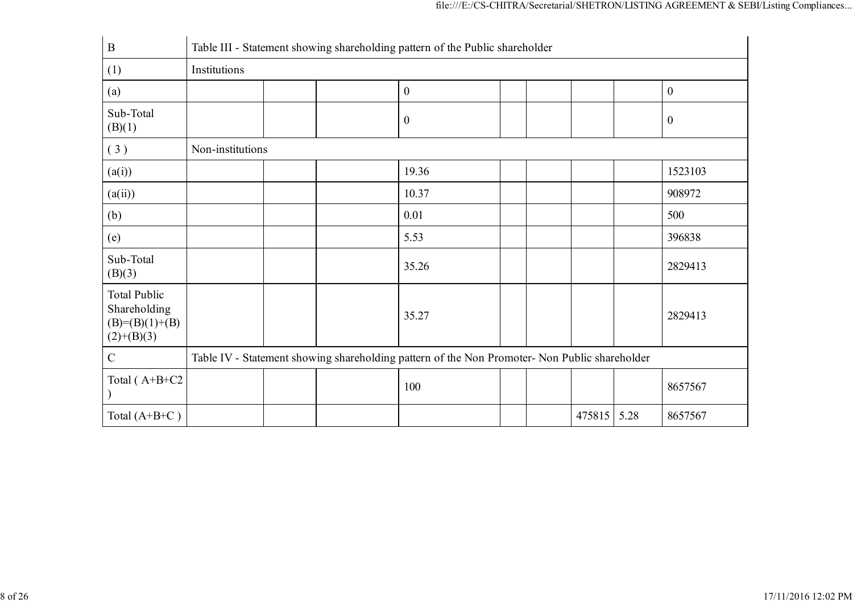| $\mathbf B$                                                              |                  | Table III - Statement showing shareholding pattern of the Public shareholder                  |                  |  |        |      |                  |
|--------------------------------------------------------------------------|------------------|-----------------------------------------------------------------------------------------------|------------------|--|--------|------|------------------|
| (1)                                                                      | Institutions     |                                                                                               |                  |  |        |      |                  |
| (a)                                                                      |                  |                                                                                               | $\boldsymbol{0}$ |  |        |      | $\boldsymbol{0}$ |
| Sub-Total<br>(B)(1)                                                      |                  |                                                                                               | $\boldsymbol{0}$ |  |        |      | $\boldsymbol{0}$ |
| (3)                                                                      | Non-institutions |                                                                                               |                  |  |        |      |                  |
| (a(i))                                                                   |                  |                                                                                               | 19.36            |  |        |      | 1523103          |
| (a(ii))                                                                  |                  |                                                                                               | 10.37            |  |        |      | 908972           |
| (b)                                                                      |                  |                                                                                               | 0.01             |  |        |      | 500              |
| (e)                                                                      |                  |                                                                                               | 5.53             |  |        |      | 396838           |
| Sub-Total<br>(B)(3)                                                      |                  |                                                                                               | 35.26            |  |        |      | 2829413          |
| <b>Total Public</b><br>Shareholding<br>$(B)= (B)(1)+(B)$<br>$(2)+(B)(3)$ |                  |                                                                                               | 35.27            |  |        |      | 2829413          |
| $\mathbf C$                                                              |                  | Table IV - Statement showing shareholding pattern of the Non Promoter- Non Public shareholder |                  |  |        |      |                  |
| Total (A+B+C2                                                            |                  |                                                                                               | 100              |  |        |      | 8657567          |
| Total $(A+B+C)$                                                          |                  |                                                                                               |                  |  | 475815 | 5.28 | 8657567          |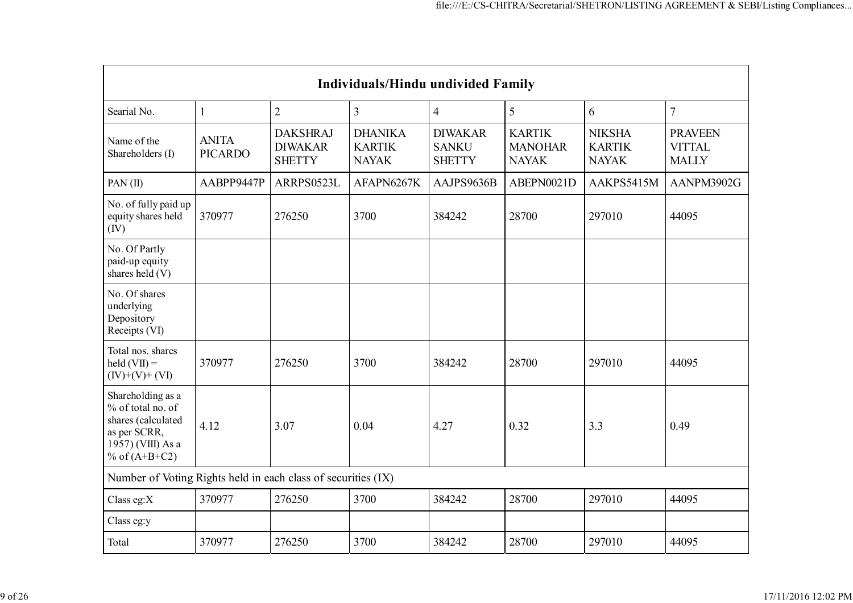|                                                                                                                      | <b>Individuals/Hindu undivided Family</b> |                                                    |                                                 |                                                 |                                                 |                                                |                                                 |  |
|----------------------------------------------------------------------------------------------------------------------|-------------------------------------------|----------------------------------------------------|-------------------------------------------------|-------------------------------------------------|-------------------------------------------------|------------------------------------------------|-------------------------------------------------|--|
| Searial No.                                                                                                          | 1                                         | $\overline{2}$                                     | 3                                               | $\overline{4}$                                  | 5                                               | 6                                              | $\overline{7}$                                  |  |
| Name of the<br>Shareholders (I)                                                                                      | <b>ANITA</b><br><b>PICARDO</b>            | <b>DAKSHRAJ</b><br><b>DIWAKAR</b><br><b>SHETTY</b> | <b>DHANIKA</b><br><b>KARTIK</b><br><b>NAYAK</b> | <b>DIWAKAR</b><br><b>SANKU</b><br><b>SHETTY</b> | <b>KARTIK</b><br><b>MANOHAR</b><br><b>NAYAK</b> | <b>NIKSHA</b><br><b>KARTIK</b><br><b>NAYAK</b> | <b>PRAVEEN</b><br><b>VITTAL</b><br><b>MALLY</b> |  |
| PAN $(II)$                                                                                                           | AABPP9447P                                | ARRPS0523L                                         | AFAPN6267K                                      | AAJPS9636B                                      | ABEPN0021D                                      | AAKPS5415M                                     | AANPM3902G                                      |  |
| No. of fully paid up<br>equity shares held<br>(IV)                                                                   | 370977                                    | 276250                                             | 3700                                            | 384242                                          | 28700                                           | 297010                                         | 44095                                           |  |
| No. Of Partly<br>paid-up equity<br>shares held (V)                                                                   |                                           |                                                    |                                                 |                                                 |                                                 |                                                |                                                 |  |
| No. Of shares<br>underlying<br>Depository<br>Receipts (VI)                                                           |                                           |                                                    |                                                 |                                                 |                                                 |                                                |                                                 |  |
| Total nos. shares<br>$\text{held}(\text{VII}) =$<br>$(IV)+(V)+(VI)$                                                  | 370977                                    | 276250                                             | 3700                                            | 384242                                          | 28700                                           | 297010                                         | 44095                                           |  |
| Shareholding as a<br>% of total no. of<br>shares (calculated<br>as per SCRR,<br>1957) (VIII) As a<br>% of $(A+B+C2)$ | 4.12                                      | 3.07                                               | 0.04                                            | 4.27                                            | 0.32                                            | 3.3                                            | 0.49                                            |  |
| Number of Voting Rights held in each class of securities (IX)                                                        |                                           |                                                    |                                                 |                                                 |                                                 |                                                |                                                 |  |
| Class eg: $X$                                                                                                        | 370977                                    | 276250                                             | 3700                                            | 384242                                          | 28700                                           | 297010                                         | 44095                                           |  |
| Class eg:y                                                                                                           |                                           |                                                    |                                                 |                                                 |                                                 |                                                |                                                 |  |
| Total                                                                                                                | 370977                                    | 276250                                             | 3700                                            | 384242                                          | 28700                                           | 297010                                         | 44095                                           |  |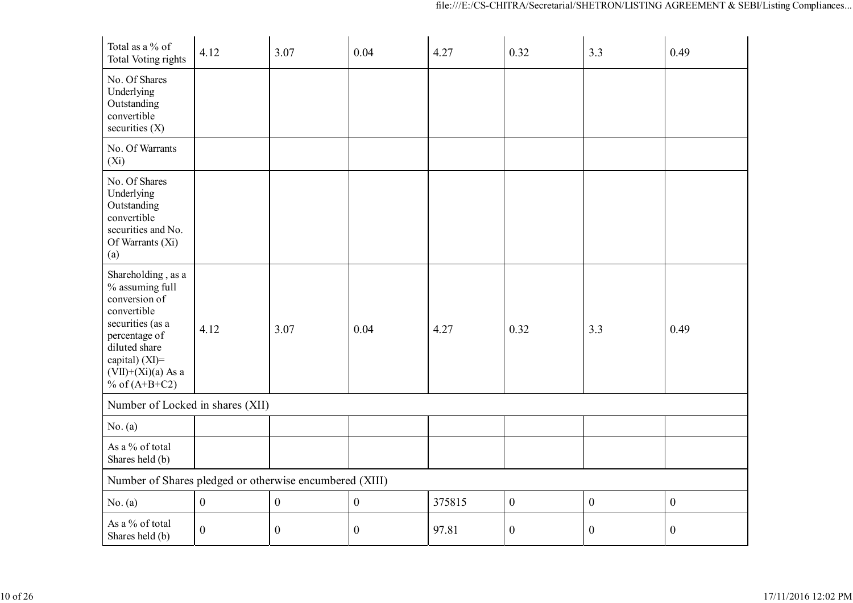| Total as a % of<br><b>Total Voting rights</b>                                                                                                                                            | 4.12             | 3.07             | 0.04             | 4.27   | 0.32             | 3.3              | 0.49             |
|------------------------------------------------------------------------------------------------------------------------------------------------------------------------------------------|------------------|------------------|------------------|--------|------------------|------------------|------------------|
| No. Of Shares<br>Underlying<br>Outstanding<br>convertible<br>securities $(X)$                                                                                                            |                  |                  |                  |        |                  |                  |                  |
| No. Of Warrants<br>$(X_i)$                                                                                                                                                               |                  |                  |                  |        |                  |                  |                  |
| No. Of Shares<br>Underlying<br>Outstanding<br>convertible<br>securities and No.<br>Of Warrants (Xi)<br>(a)                                                                               |                  |                  |                  |        |                  |                  |                  |
| Shareholding, as a<br>% assuming full<br>conversion of<br>convertible<br>securities (as a<br>percentage of<br>diluted share<br>capital) (XI)=<br>$(VII)+(Xi)(a)$ As a<br>% of $(A+B+C2)$ | 4.12             | 3.07             | 0.04             | 4.27   | 0.32             | 3.3              | 0.49             |
| Number of Locked in shares (XII)                                                                                                                                                         |                  |                  |                  |        |                  |                  |                  |
| No. (a)                                                                                                                                                                                  |                  |                  |                  |        |                  |                  |                  |
| As a % of total<br>Shares held (b)                                                                                                                                                       |                  |                  |                  |        |                  |                  |                  |
| Number of Shares pledged or otherwise encumbered (XIII)                                                                                                                                  |                  |                  |                  |        |                  |                  |                  |
| No. (a)                                                                                                                                                                                  | $\boldsymbol{0}$ | $\boldsymbol{0}$ | $\boldsymbol{0}$ | 375815 | $\boldsymbol{0}$ | $\boldsymbol{0}$ | $\boldsymbol{0}$ |
| As a % of total<br>Shares held (b)                                                                                                                                                       | $\boldsymbol{0}$ | $\boldsymbol{0}$ | $\boldsymbol{0}$ | 97.81  | $\boldsymbol{0}$ | $\boldsymbol{0}$ | $\boldsymbol{0}$ |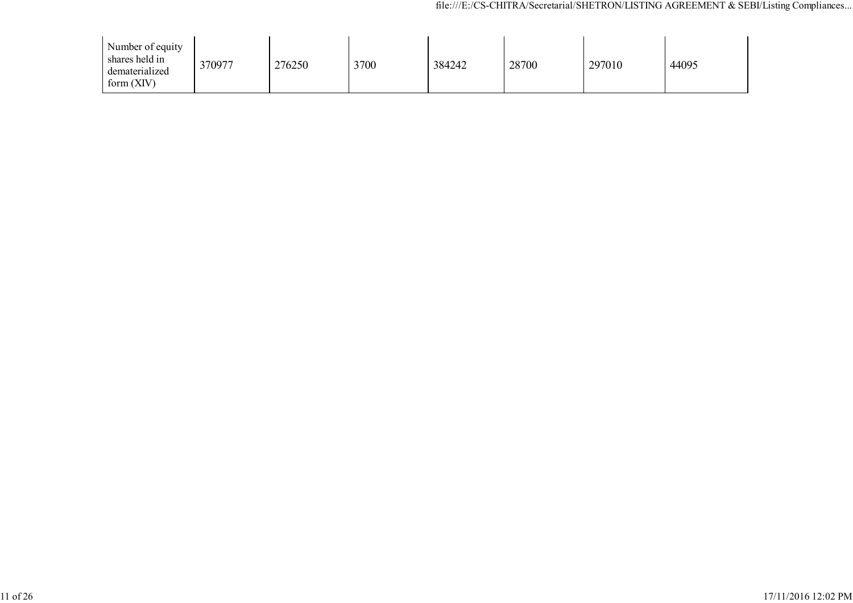| Number of equity<br>shares held in<br>dematerialized<br>form $(XIV)$ | 370977 | 276250 | 3700 | 384242 | 28700 | 297010 | 44095 |
|----------------------------------------------------------------------|--------|--------|------|--------|-------|--------|-------|
|----------------------------------------------------------------------|--------|--------|------|--------|-------|--------|-------|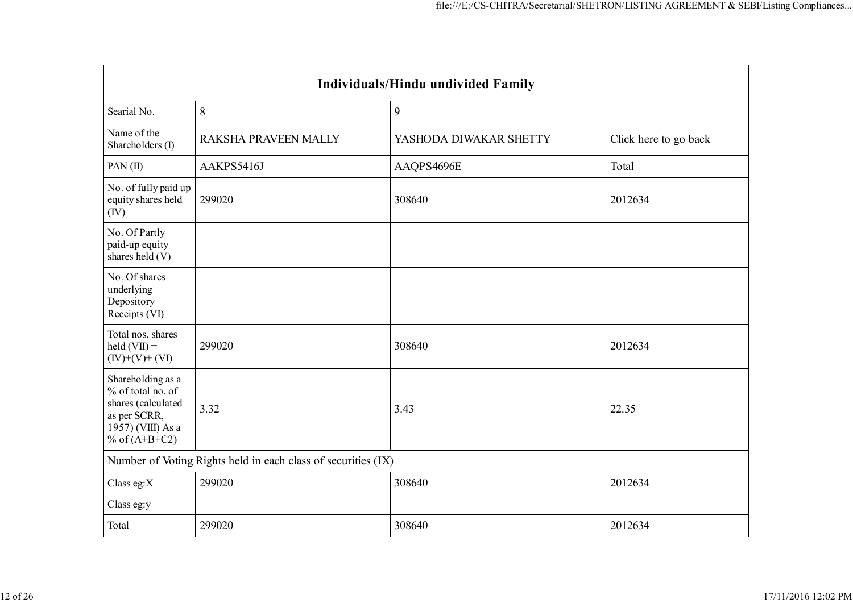| Individuals/Hindu undivided Family                                                                                   |                                                               |                        |                       |  |  |  |  |  |  |
|----------------------------------------------------------------------------------------------------------------------|---------------------------------------------------------------|------------------------|-----------------------|--|--|--|--|--|--|
| Searial No.                                                                                                          | 8                                                             | 9                      |                       |  |  |  |  |  |  |
| Name of the<br>Shareholders (I)                                                                                      | RAKSHA PRAVEEN MALLY                                          | YASHODA DIWAKAR SHETTY | Click here to go back |  |  |  |  |  |  |
| PAN $(II)$                                                                                                           | AAKPS5416J                                                    | AAQPS4696E             | Total                 |  |  |  |  |  |  |
| No. of fully paid up<br>equity shares held<br>(IV)                                                                   | 299020                                                        | 308640                 | 2012634               |  |  |  |  |  |  |
| No. Of Partly<br>paid-up equity<br>shares held (V)                                                                   |                                                               |                        |                       |  |  |  |  |  |  |
| No. Of shares<br>underlying<br>Depository<br>Receipts (VI)                                                           |                                                               |                        |                       |  |  |  |  |  |  |
| Total nos. shares<br>$\text{held}(\text{VII}) =$<br>$(IV)+(V)+(VI)$                                                  | 299020                                                        | 308640                 | 2012634               |  |  |  |  |  |  |
| Shareholding as a<br>% of total no. of<br>shares (calculated<br>as per SCRR,<br>1957) (VIII) As a<br>% of $(A+B+C2)$ | 3.32                                                          | 3.43                   | 22.35                 |  |  |  |  |  |  |
|                                                                                                                      | Number of Voting Rights held in each class of securities (IX) |                        |                       |  |  |  |  |  |  |
| Class eg:X                                                                                                           | 299020                                                        | 308640                 | 2012634               |  |  |  |  |  |  |
| Class eg:y                                                                                                           |                                                               |                        |                       |  |  |  |  |  |  |
| Total                                                                                                                | 299020                                                        | 308640                 | 2012634               |  |  |  |  |  |  |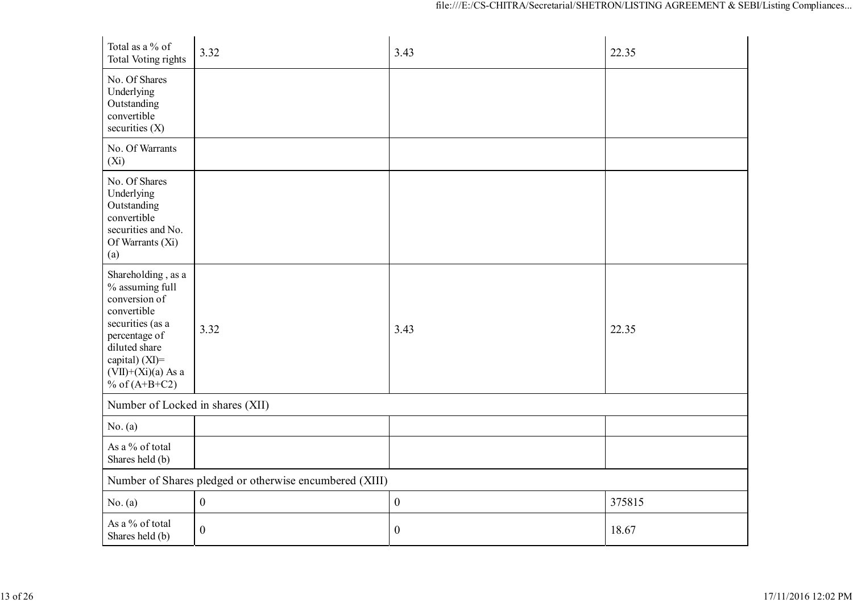| Total as a % of<br><b>Total Voting rights</b>                                                                                                                                            | 3.32                                                    | 3.43             | 22.35  |  |  |
|------------------------------------------------------------------------------------------------------------------------------------------------------------------------------------------|---------------------------------------------------------|------------------|--------|--|--|
| No. Of Shares<br>Underlying<br>Outstanding<br>convertible<br>securities (X)                                                                                                              |                                                         |                  |        |  |  |
| No. Of Warrants<br>$(X_i)$                                                                                                                                                               |                                                         |                  |        |  |  |
| No. Of Shares<br>Underlying<br>Outstanding<br>convertible<br>securities and No.<br>Of Warrants (Xi)<br>(a)                                                                               |                                                         |                  |        |  |  |
| Shareholding, as a<br>% assuming full<br>conversion of<br>convertible<br>securities (as a<br>percentage of<br>diluted share<br>capital) (XI)=<br>$(VII)+(Xi)(a)$ As a<br>% of $(A+B+C2)$ | 3.32                                                    | 3.43             | 22.35  |  |  |
| Number of Locked in shares (XII)                                                                                                                                                         |                                                         |                  |        |  |  |
| No. (a)                                                                                                                                                                                  |                                                         |                  |        |  |  |
| As a % of total<br>Shares held (b)                                                                                                                                                       |                                                         |                  |        |  |  |
|                                                                                                                                                                                          | Number of Shares pledged or otherwise encumbered (XIII) |                  |        |  |  |
| No. (a)                                                                                                                                                                                  | $\boldsymbol{0}$                                        | $\boldsymbol{0}$ | 375815 |  |  |
| As a % of total<br>Shares held (b)                                                                                                                                                       | $\boldsymbol{0}$                                        | $\boldsymbol{0}$ | 18.67  |  |  |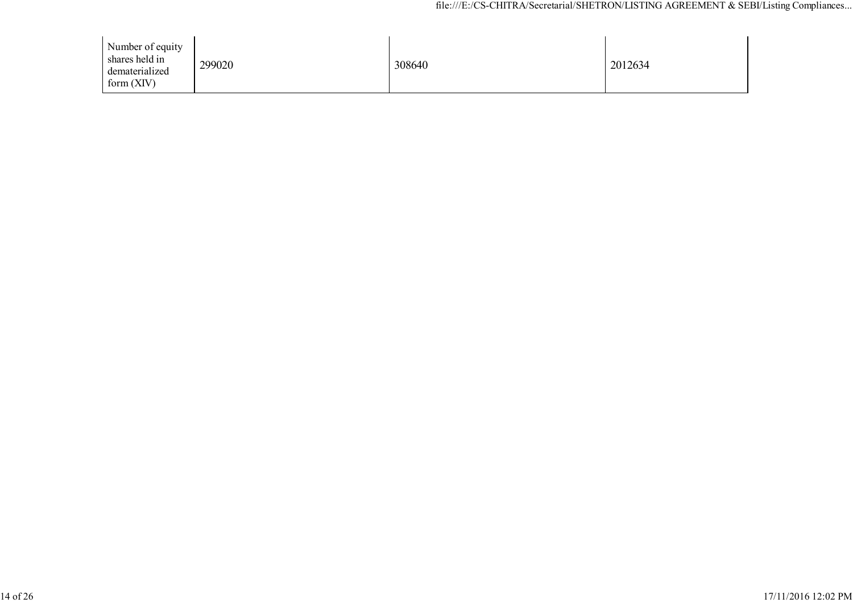| Number of equity<br>shares held in<br>dematerialized<br>form $(XIV)$ | 299020 | 308640 | 2012634 |
|----------------------------------------------------------------------|--------|--------|---------|
|----------------------------------------------------------------------|--------|--------|---------|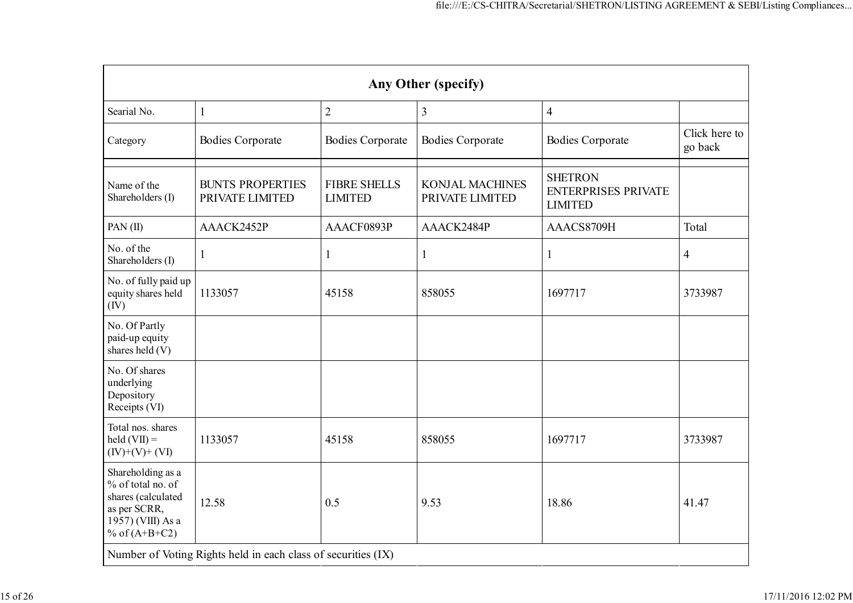| Any Other (specify)                                                                                                  |                                                               |                                       |                                           |                                                                |                          |
|----------------------------------------------------------------------------------------------------------------------|---------------------------------------------------------------|---------------------------------------|-------------------------------------------|----------------------------------------------------------------|--------------------------|
| Searial No.                                                                                                          | 1                                                             | $\overline{2}$                        | 3                                         | $\overline{4}$                                                 |                          |
| Category                                                                                                             | <b>Bodies Corporate</b>                                       | <b>Bodies Corporate</b>               | <b>Bodies Corporate</b>                   | <b>Bodies Corporate</b>                                        | Click here to<br>go back |
| Name of the<br>Shareholders (I)                                                                                      | <b>BUNTS PROPERTIES</b><br>PRIVATE LIMITED                    | <b>FIBRE SHELLS</b><br><b>LIMITED</b> | <b>KONJAL MACHINES</b><br>PRIVATE LIMITED | <b>SHETRON</b><br><b>ENTERPRISES PRIVATE</b><br><b>LIMITED</b> |                          |
| PAN(II)                                                                                                              | AAACK2452P                                                    | AAACF0893P                            | AAACK2484P                                | AAACS8709H                                                     | Total                    |
| No. of the<br>Shareholders (I)                                                                                       | 1                                                             | 1                                     | 1                                         | 1                                                              | 4                        |
| No. of fully paid up<br>equity shares held<br>(IV)                                                                   | 1133057                                                       | 45158                                 | 858055                                    | 1697717                                                        | 3733987                  |
| No. Of Partly<br>paid-up equity<br>shares held (V)                                                                   |                                                               |                                       |                                           |                                                                |                          |
| No. Of shares<br>underlying<br>Depository<br>Receipts (VI)                                                           |                                                               |                                       |                                           |                                                                |                          |
| Total nos. shares<br>$\text{held}(\text{VII}) =$<br>$(IV)+(V)+(VI)$                                                  | 1133057                                                       | 45158                                 | 858055                                    | 1697717                                                        | 3733987                  |
| Shareholding as a<br>% of total no. of<br>shares (calculated<br>as per SCRR,<br>1957) (VIII) As a<br>% of $(A+B+C2)$ | 12.58                                                         | 0.5                                   | 9.53                                      | 18.86                                                          | 41.47                    |
|                                                                                                                      | Number of Voting Rights held in each class of securities (IX) |                                       |                                           |                                                                |                          |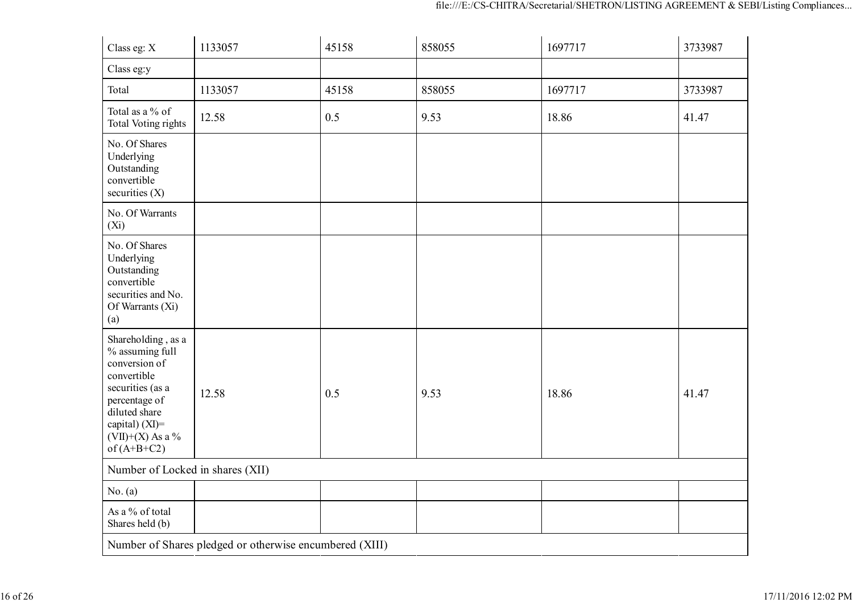| Class eg: X                                                                                                                                                                             | 1133057                                                 | 45158 | 858055 | 1697717 | 3733987 |
|-----------------------------------------------------------------------------------------------------------------------------------------------------------------------------------------|---------------------------------------------------------|-------|--------|---------|---------|
| Class eg:y                                                                                                                                                                              |                                                         |       |        |         |         |
| Total                                                                                                                                                                                   | 1133057                                                 | 45158 | 858055 | 1697717 | 3733987 |
| Total as a % of<br>Total Voting rights                                                                                                                                                  | 12.58                                                   | 0.5   | 9.53   | 18.86   | 41.47   |
| No. Of Shares<br>Underlying<br>Outstanding<br>convertible<br>securities $(X)$                                                                                                           |                                                         |       |        |         |         |
| No. Of Warrants<br>$(X_i)$                                                                                                                                                              |                                                         |       |        |         |         |
| No. Of Shares<br>Underlying<br>Outstanding<br>convertible<br>securities and No.<br>Of Warrants (Xi)<br>(a)                                                                              |                                                         |       |        |         |         |
| Shareholding, as a<br>% assuming full<br>conversion of<br>convertible<br>securities (as a<br>percentage of<br>diluted share<br>capital) $(XI)$ =<br>$(VII)+(X)$ As a %<br>of $(A+B+C2)$ | 12.58                                                   | 0.5   | 9.53   | 18.86   | 41.47   |
| Number of Locked in shares (XII)                                                                                                                                                        |                                                         |       |        |         |         |
| No. (a)                                                                                                                                                                                 |                                                         |       |        |         |         |
| As a % of total<br>Shares held (b)                                                                                                                                                      |                                                         |       |        |         |         |
|                                                                                                                                                                                         | Number of Shares pledged or otherwise encumbered (XIII) |       |        |         |         |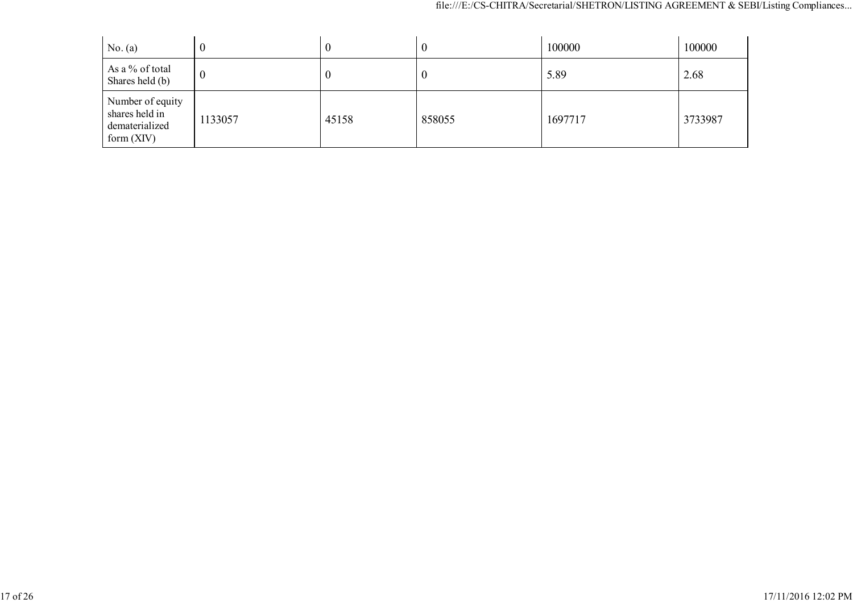| No. (a)                                                              |         | v     | $_{0}$ | 100000  | 100000  |
|----------------------------------------------------------------------|---------|-------|--------|---------|---------|
| As a % of total<br>Shares held (b)                                   | - 12    | U     | 0      | 5.89    | 2.68    |
| Number of equity<br>shares held in<br>dematerialized<br>form $(XIV)$ | 1133057 | 45158 | 858055 | 1697717 | 3733987 |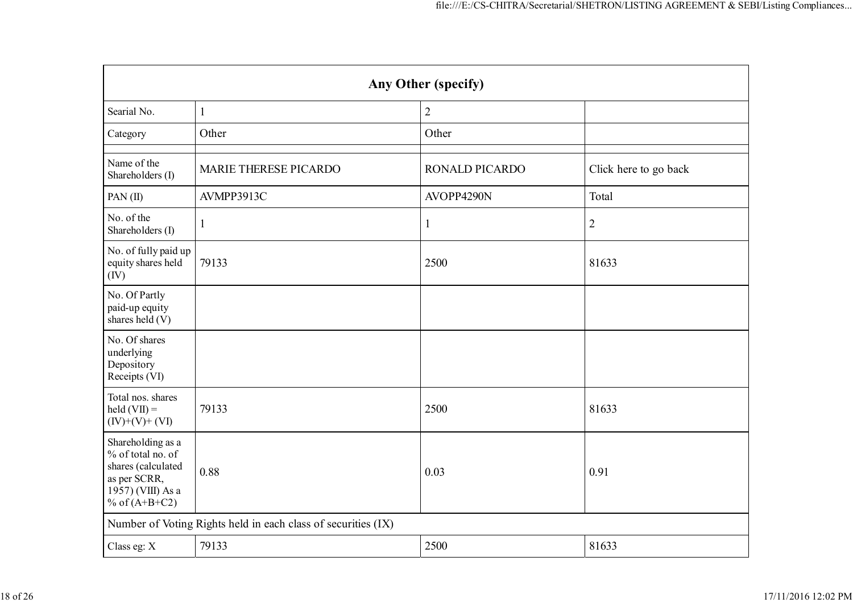|                                                                                                                      | Any Other (specify)                                           |                |                       |  |  |
|----------------------------------------------------------------------------------------------------------------------|---------------------------------------------------------------|----------------|-----------------------|--|--|
| Searial No.                                                                                                          | $\mathbf{1}$                                                  | $\overline{2}$ |                       |  |  |
| Category                                                                                                             | Other                                                         | Other          |                       |  |  |
| Name of the<br>Shareholders (I)                                                                                      | MARIE THERESE PICARDO                                         | RONALD PICARDO | Click here to go back |  |  |
| PAN(II)                                                                                                              | AVMPP3913C                                                    | AVOPP4290N     | Total                 |  |  |
| No. of the<br>Shareholders (I)                                                                                       | 1                                                             | $\mathbf{1}$   | $\overline{2}$        |  |  |
| No. of fully paid up<br>equity shares held<br>(IV)                                                                   | 79133                                                         | 2500           | 81633                 |  |  |
| No. Of Partly<br>paid-up equity<br>shares held (V)                                                                   |                                                               |                |                       |  |  |
| No. Of shares<br>underlying<br>Depository<br>Receipts (VI)                                                           |                                                               |                |                       |  |  |
| Total nos. shares<br>$\text{held}(\text{VII}) =$<br>$(IV)+(V)+(VI)$                                                  | 79133                                                         | 2500           | 81633                 |  |  |
| Shareholding as a<br>% of total no. of<br>shares (calculated<br>as per SCRR,<br>1957) (VIII) As a<br>% of $(A+B+C2)$ | 0.88                                                          | 0.03           | 0.91                  |  |  |
|                                                                                                                      | Number of Voting Rights held in each class of securities (IX) |                |                       |  |  |
| Class eg: X                                                                                                          | 79133                                                         | 2500           | 81633                 |  |  |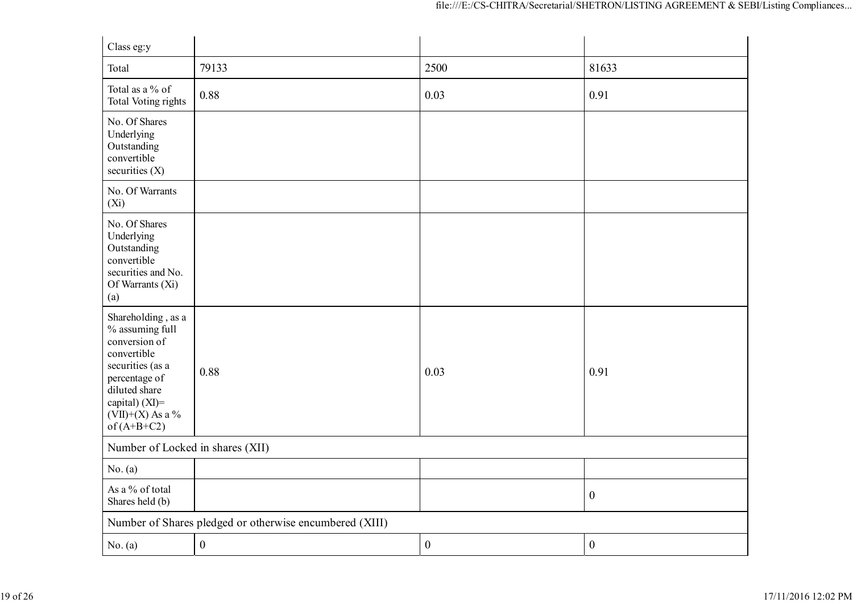| Class eg:y                                                                                                                                                                           |                                                         |                  |                  |
|--------------------------------------------------------------------------------------------------------------------------------------------------------------------------------------|---------------------------------------------------------|------------------|------------------|
| Total                                                                                                                                                                                | 79133                                                   | 2500             | 81633            |
| Total as a % of<br><b>Total Voting rights</b>                                                                                                                                        | 0.88                                                    | 0.03             | 0.91             |
| No. Of Shares<br>Underlying<br>Outstanding<br>convertible<br>securities $(X)$                                                                                                        |                                                         |                  |                  |
| No. Of Warrants<br>(Xi)                                                                                                                                                              |                                                         |                  |                  |
| No. Of Shares<br>Underlying<br>Outstanding<br>convertible<br>securities and No.<br>Of Warrants (Xi)<br>(a)                                                                           |                                                         |                  |                  |
| Shareholding, as a<br>% assuming full<br>conversion of<br>convertible<br>securities (as a<br>percentage of<br>diluted share<br>capital) (XI)=<br>$(VII)+(X)$ As a %<br>of $(A+B+C2)$ | 0.88                                                    | 0.03             | 0.91             |
| Number of Locked in shares (XII)                                                                                                                                                     |                                                         |                  |                  |
| No. (a)                                                                                                                                                                              |                                                         |                  |                  |
| As a % of total<br>Shares held (b)                                                                                                                                                   |                                                         |                  | $\boldsymbol{0}$ |
|                                                                                                                                                                                      | Number of Shares pledged or otherwise encumbered (XIII) |                  |                  |
| No. (a)                                                                                                                                                                              | $\boldsymbol{0}$                                        | $\boldsymbol{0}$ | $\boldsymbol{0}$ |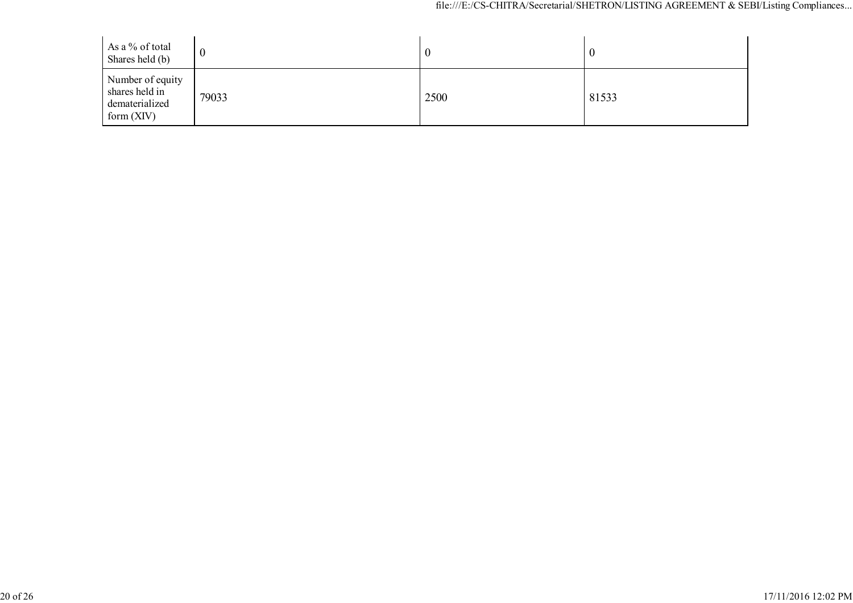| As a % of total<br>Shares held (b)                                   |       |      |       |
|----------------------------------------------------------------------|-------|------|-------|
| Number of equity<br>shares held in<br>dematerialized<br>form $(XIV)$ | 79033 | 2500 | 81533 |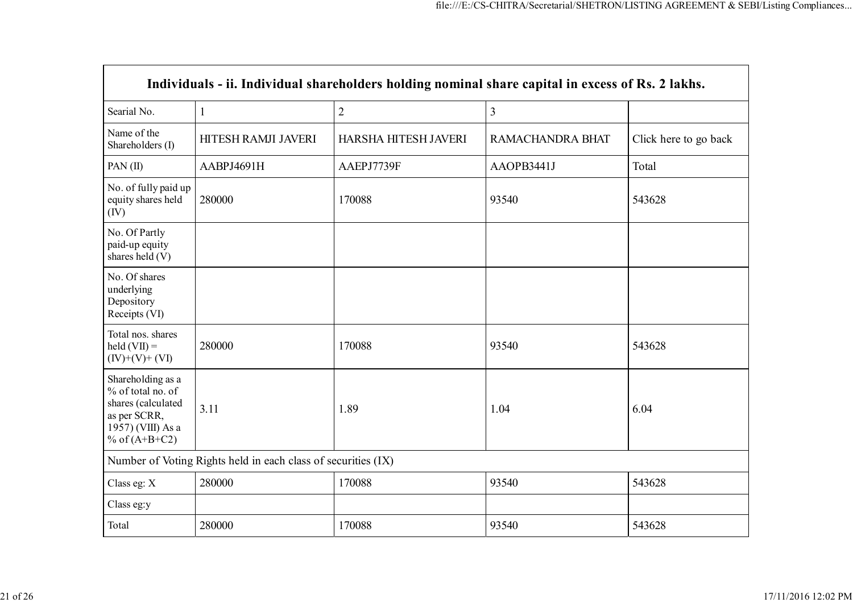|                                                                                                                      | Individuals - ii. Individual shareholders holding nominal share capital in excess of Rs. 2 lakhs. |                      |                  |                       |  |
|----------------------------------------------------------------------------------------------------------------------|---------------------------------------------------------------------------------------------------|----------------------|------------------|-----------------------|--|
| Searial No.                                                                                                          | $\mathbf{1}$                                                                                      | $\overline{2}$       | 3                |                       |  |
| Name of the<br>Shareholders (I)                                                                                      | HITESH RAMJI JAVERI                                                                               | HARSHA HITESH JAVERI | RAMACHANDRA BHAT | Click here to go back |  |
| PAN(II)                                                                                                              | AABPJ4691H                                                                                        | AAEPJ7739F           | AAOPB3441J       | Total                 |  |
| No. of fully paid up<br>equity shares held<br>(IV)                                                                   | 280000                                                                                            | 170088               | 93540            | 543628                |  |
| No. Of Partly<br>paid-up equity<br>shares held (V)                                                                   |                                                                                                   |                      |                  |                       |  |
| No. Of shares<br>underlying<br>Depository<br>Receipts (VI)                                                           |                                                                                                   |                      |                  |                       |  |
| Total nos. shares<br>held $(VII) =$<br>$(IV)+(V)+(VI)$                                                               | 280000                                                                                            | 170088               | 93540            | 543628                |  |
| Shareholding as a<br>% of total no. of<br>shares (calculated<br>as per SCRR,<br>1957) (VIII) As a<br>% of $(A+B+C2)$ | 3.11                                                                                              | 1.89                 | 1.04             | 6.04                  |  |
|                                                                                                                      | Number of Voting Rights held in each class of securities (IX)                                     |                      |                  |                       |  |
| Class eg: X                                                                                                          | 280000                                                                                            | 170088               | 93540            | 543628                |  |
| Class eg:y                                                                                                           |                                                                                                   |                      |                  |                       |  |
| Total                                                                                                                | 280000                                                                                            | 170088               | 93540            | 543628                |  |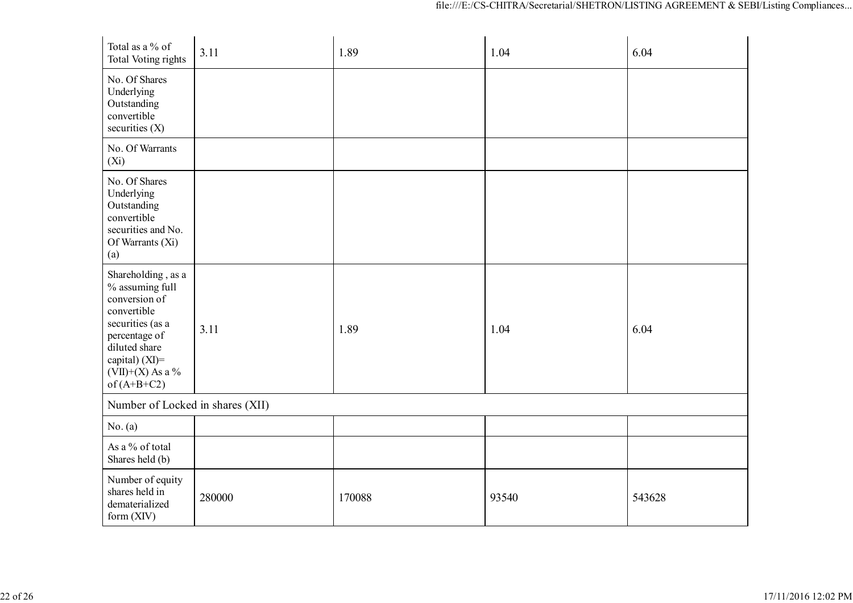| Total as a % of<br>Total Voting rights                                                                                                                                               | 3.11   | 1.89   | 1.04  | 6.04   |
|--------------------------------------------------------------------------------------------------------------------------------------------------------------------------------------|--------|--------|-------|--------|
| No. Of Shares<br>Underlying<br>Outstanding<br>convertible<br>securities $(X)$                                                                                                        |        |        |       |        |
| No. Of Warrants<br>$(X_i)$                                                                                                                                                           |        |        |       |        |
| No. Of Shares<br>Underlying<br>Outstanding<br>convertible<br>securities and No.<br>Of Warrants (Xi)<br>(a)                                                                           |        |        |       |        |
| Shareholding, as a<br>% assuming full<br>conversion of<br>convertible<br>securities (as a<br>percentage of<br>diluted share<br>capital) (XI)=<br>$(VII)+(X)$ As a %<br>of $(A+B+C2)$ | 3.11   | 1.89   | 1.04  | 6.04   |
| Number of Locked in shares (XII)                                                                                                                                                     |        |        |       |        |
| No. (a)                                                                                                                                                                              |        |        |       |        |
| As a % of total<br>Shares held (b)                                                                                                                                                   |        |        |       |        |
| Number of equity<br>shares held in<br>dematerialized<br>form (XIV)                                                                                                                   | 280000 | 170088 | 93540 | 543628 |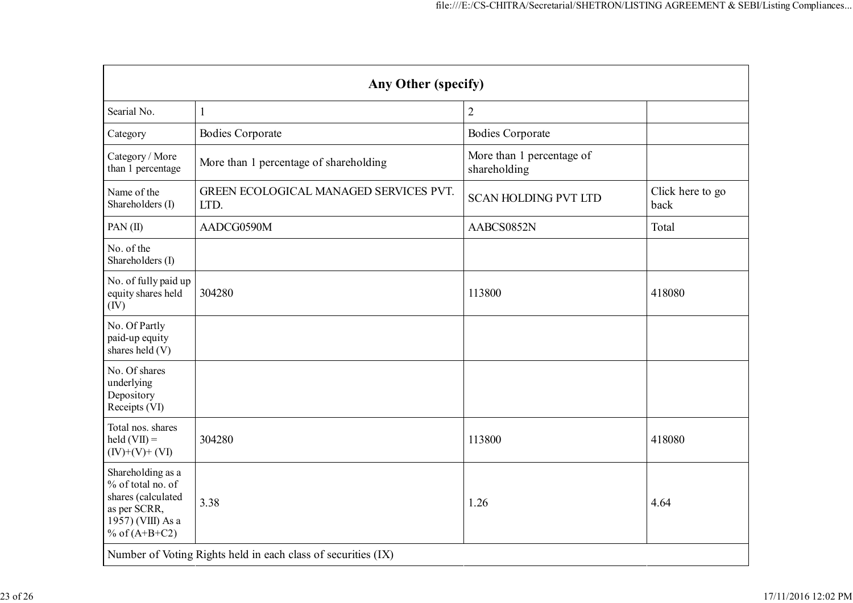|                                                                                                                      | Any Other (specify)                                           |                                           |                          |  |  |
|----------------------------------------------------------------------------------------------------------------------|---------------------------------------------------------------|-------------------------------------------|--------------------------|--|--|
| Searial No.                                                                                                          | $\mathbf{1}$                                                  | $\overline{2}$                            |                          |  |  |
| Category                                                                                                             | <b>Bodies Corporate</b>                                       | <b>Bodies Corporate</b>                   |                          |  |  |
| Category / More<br>than 1 percentage                                                                                 | More than 1 percentage of shareholding                        | More than 1 percentage of<br>shareholding |                          |  |  |
| Name of the<br>Shareholders (I)                                                                                      | GREEN ECOLOGICAL MANAGED SERVICES PVT.<br>LTD.                | <b>SCAN HOLDING PVT LTD</b>               | Click here to go<br>back |  |  |
| PAN(II)                                                                                                              | AADCG0590M                                                    | AABCS0852N                                | Total                    |  |  |
| No. of the<br>Shareholders (I)                                                                                       |                                                               |                                           |                          |  |  |
| No. of fully paid up<br>equity shares held<br>(IV)                                                                   | 304280                                                        | 113800                                    | 418080                   |  |  |
| No. Of Partly<br>paid-up equity<br>shares held (V)                                                                   |                                                               |                                           |                          |  |  |
| No. Of shares<br>underlying<br>Depository<br>Receipts (VI)                                                           |                                                               |                                           |                          |  |  |
| Total nos. shares<br>$\text{held}(\text{VII}) =$<br>$(IV)+(V)+(VI)$                                                  | 304280                                                        | 113800                                    | 418080                   |  |  |
| Shareholding as a<br>% of total no. of<br>shares (calculated<br>as per SCRR,<br>1957) (VIII) As a<br>% of $(A+B+C2)$ | 3.38                                                          | 1.26                                      | 4.64                     |  |  |
|                                                                                                                      | Number of Voting Rights held in each class of securities (IX) |                                           |                          |  |  |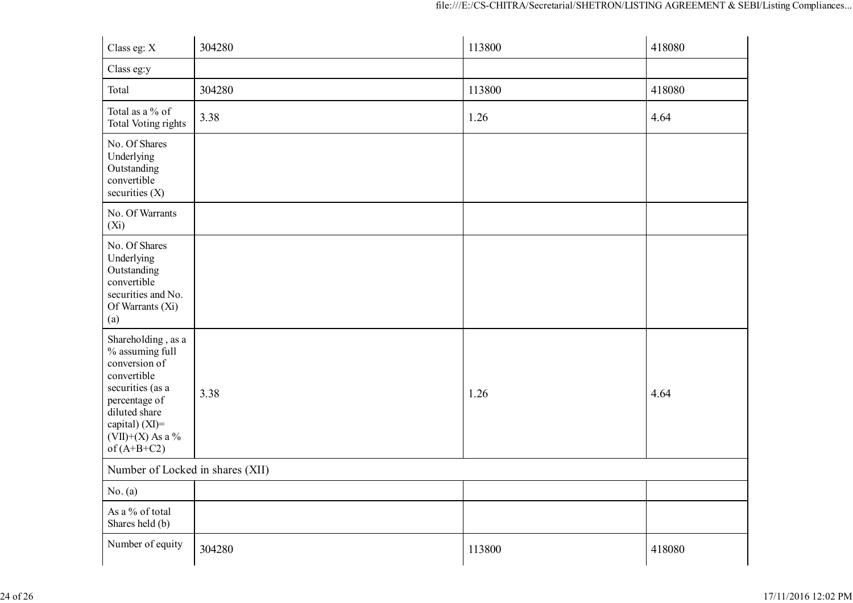| Class eg: X                                                                                                                                                                             | 304280 | 113800 | 418080 |
|-----------------------------------------------------------------------------------------------------------------------------------------------------------------------------------------|--------|--------|--------|
| Class eg:y                                                                                                                                                                              |        |        |        |
| Total                                                                                                                                                                                   | 304280 | 113800 | 418080 |
| Total as a % of<br>Total Voting rights                                                                                                                                                  | 3.38   | 1.26   | 4.64   |
| No. Of Shares<br>Underlying<br>Outstanding<br>convertible<br>securities (X)                                                                                                             |        |        |        |
| No. Of Warrants<br>$(X_i)$                                                                                                                                                              |        |        |        |
| No. Of Shares<br>Underlying<br>Outstanding<br>convertible<br>securities and No.<br>Of Warrants (Xi)<br>(a)                                                                              |        |        |        |
| Shareholding, as a<br>$\%$ assuming full<br>conversion of<br>convertible<br>securities (as a<br>percentage of<br>diluted share<br>capital) (XI)=<br>$(VII)+(X)$ As a %<br>of $(A+B+C2)$ | 3.38   | 1.26   | 4.64   |
| Number of Locked in shares (XII)                                                                                                                                                        |        |        |        |
| No. (a)                                                                                                                                                                                 |        |        |        |
| As a % of total<br>Shares held (b)                                                                                                                                                      |        |        |        |
| Number of equity                                                                                                                                                                        | 304280 | 113800 | 418080 |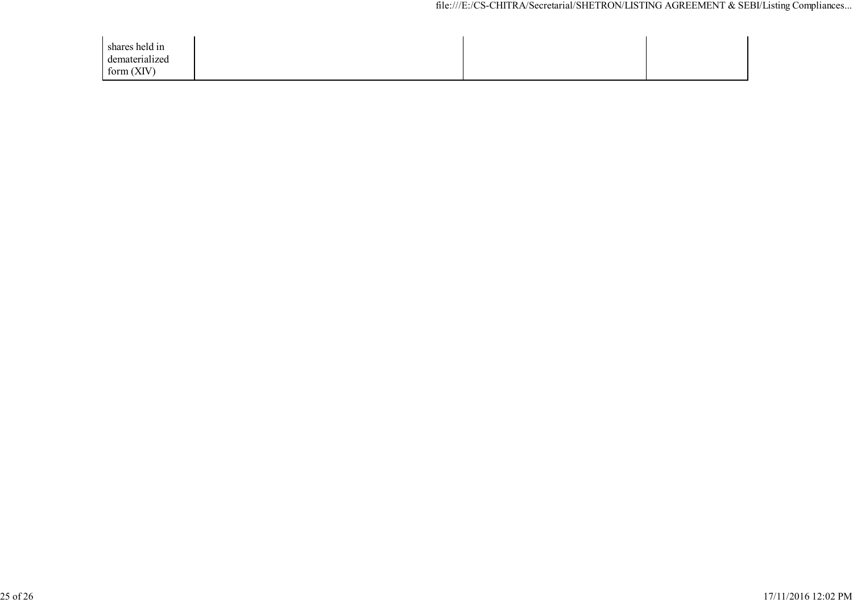| shares held in |  |  |
|----------------|--|--|
| dematerialized |  |  |
| form $(XIV)$   |  |  |